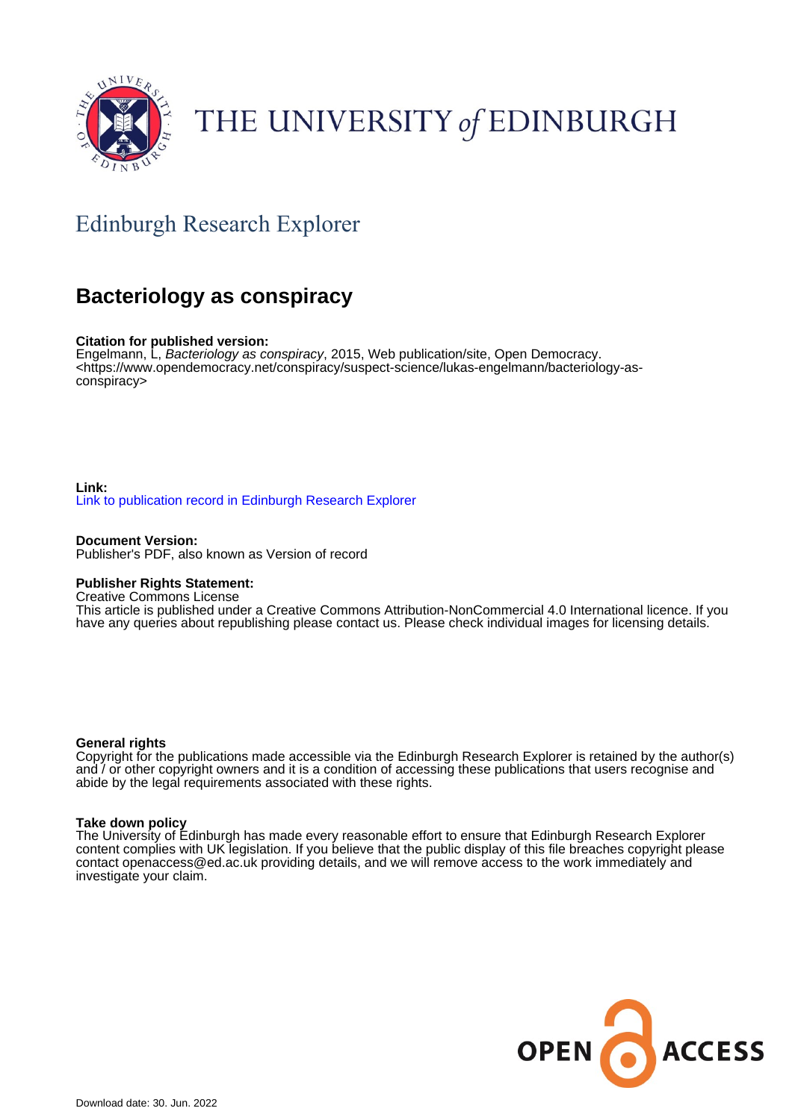

# THE UNIVERSITY of EDINBURGH

### Edinburgh Research Explorer

### **Bacteriology as conspiracy**

#### **Citation for published version:**

Engelmann, L, Bacteriology as conspiracy, 2015, Web publication/site, Open Democracy. <[https://www.opendemocracy.net/conspiracy/suspect-science/lukas-engelmann/bacteriology-as](https://www.opendemocracy.net/conspiracy/suspect-science/lukas-engelmann/bacteriology-as-conspiracy)[conspiracy>](https://www.opendemocracy.net/conspiracy/suspect-science/lukas-engelmann/bacteriology-as-conspiracy)

#### **Link:** [Link to publication record in Edinburgh Research Explorer](https://www.research.ed.ac.uk/en/publications/45cc9df3-d135-418a-aaac-3c22072e496c)

**Document Version:** Publisher's PDF, also known as Version of record

#### **Publisher Rights Statement:**

Creative Commons License

This article is published under a Creative Commons Attribution-NonCommercial 4.0 International licence. If you have any queries about republishing please contact us. Please check individual images for licensing details.

#### **General rights**

Copyright for the publications made accessible via the Edinburgh Research Explorer is retained by the author(s) and / or other copyright owners and it is a condition of accessing these publications that users recognise and abide by the legal requirements associated with these rights.

#### **Take down policy**

The University of Edinburgh has made every reasonable effort to ensure that Edinburgh Research Explorer content complies with UK legislation. If you believe that the public display of this file breaches copyright please contact openaccess@ed.ac.uk providing details, and we will remove access to the work immediately and investigate your claim.

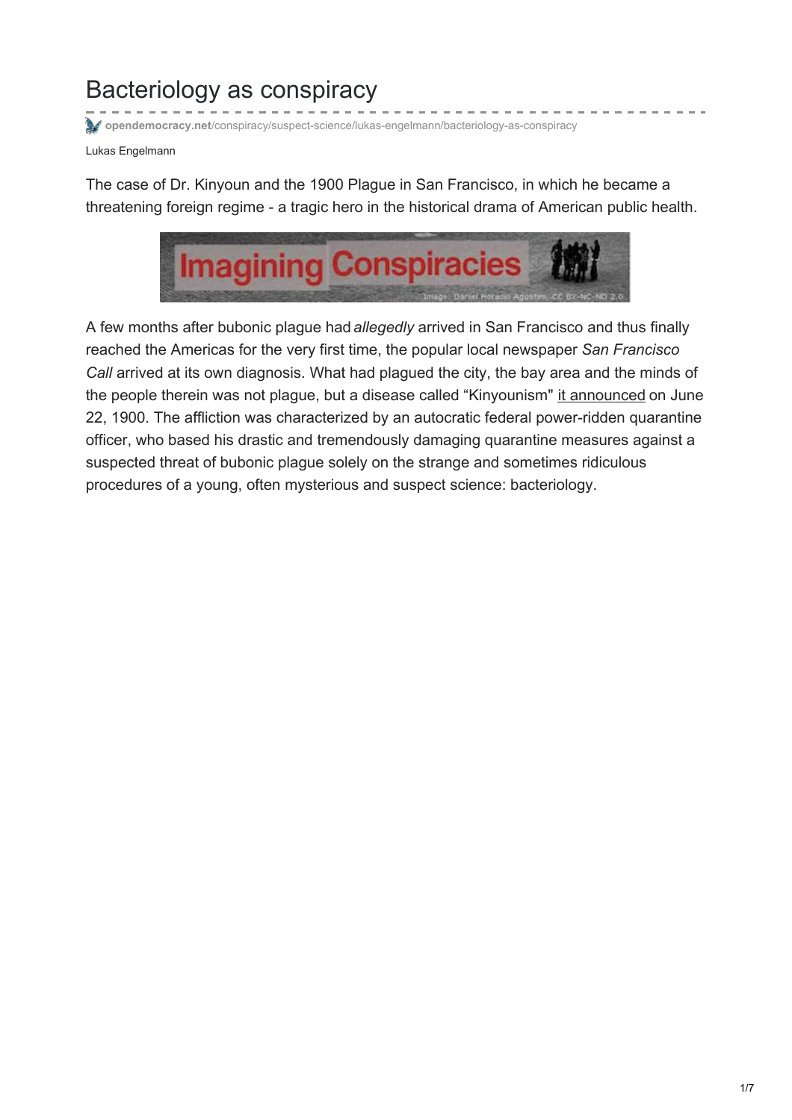## Bacteriology as conspiracy

**opendemocracy.net**[/conspiracy/suspect-science/lukas-engelmann/bacteriology-as-conspiracy](https://www.opendemocracy.net/conspiracy/suspect-science/lukas-engelmann/bacteriology-as-conspiracy)

Lukas Engelmann

The case of Dr. Kinyoun and the 1900 Plague in San Francisco, in which he became a threatening foreign regime - a tragic hero in the historical drama of American public health.



A few months after bubonic plague had *allegedly* arrived in San Francisco and thus finally reached the Americas for the very first time, the popular local newspaper *San Francisco Call* arrived at its own diagnosis. What had plagued the city, the bay area and the minds of the people therein was not plague, but a disease called "Kinyounism" it [announced](http://cdnc.ucr.edu/cgi-bin/cdnc?a=d&d=SFC19000622.2.17&dliv=none&e=-------en--20-SFC-21-byDA-txt-txIN-kinyoun-------1) on June 22, 1900. The affliction was characterized by an autocratic federal power-ridden quarantine officer, who based his drastic and tremendously damaging quarantine measures against a suspected threat of bubonic plague solely on the strange and sometimes ridiculous procedures of a young, often mysterious and suspect science: bacteriology.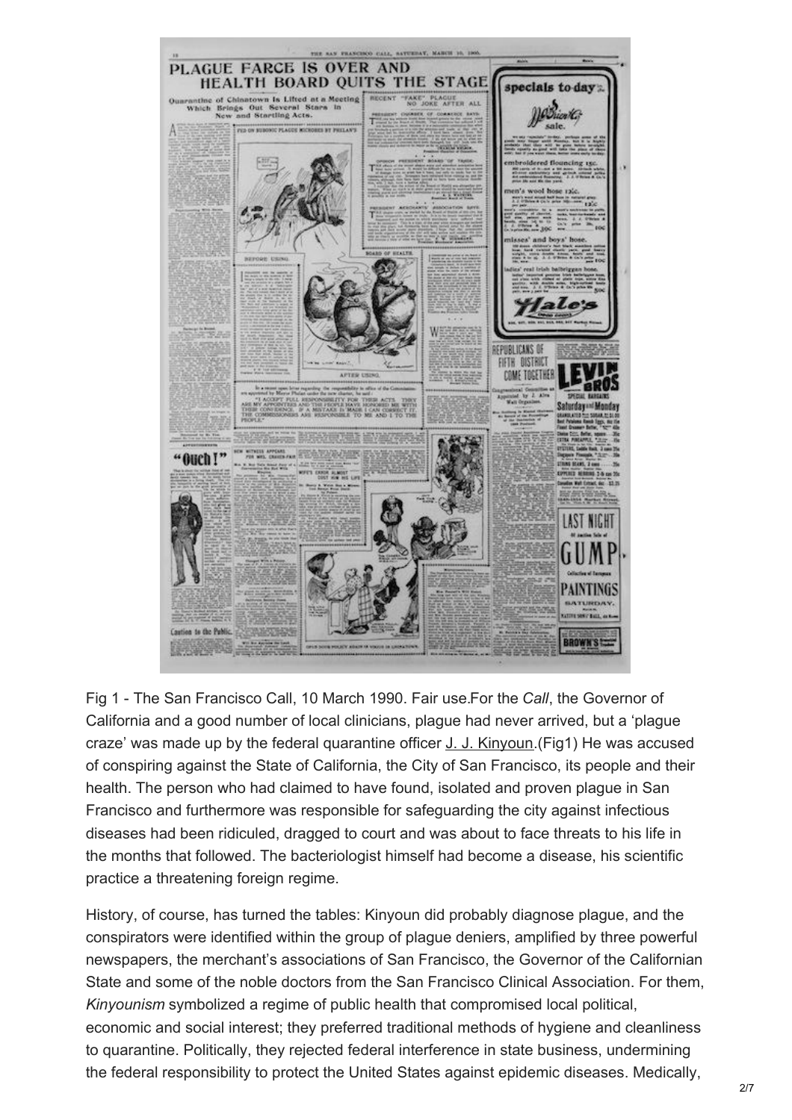

Fig 1 - The San Francisco Call, 10 March 1990. Fair use.For the *Call*, the Governor of California and a good number of local clinicians, plague had never arrived, but a 'plague craze' was made up by the federal quarantine officer J. J. [Kinyoun](https://upload.wikimedia.org/wikipedia/commons/thumb/1/10/Dr._Joseph_J._Kinyoun_(6916215501).jpg/220px-Dr._Joseph_J._Kinyoun_(6916215501).jpg).(Fig1) He was accused of conspiring against the State of California, the City of San Francisco, its people and their health. The person who had claimed to have found, isolated and proven plague in San Francisco and furthermore was responsible for safeguarding the city against infectious diseases had been ridiculed, dragged to court and was about to face threats to his life in the months that followed. The bacteriologist himself had become a disease, his scientific practice a threatening foreign regime.

History, of course, has turned the tables: Kinyoun did probably diagnose plague, and the conspirators were identified within the group of plague deniers, amplified by three powerful newspapers, the merchant's associations of San Francisco, the Governor of the Californian State and some of the noble doctors from the San Francisco Clinical Association. For them, *Kinyounism* symbolized a regime of public health that compromised local political, economic and social interest; they preferred traditional methods of hygiene and cleanliness to quarantine. Politically, they rejected federal interference in state business, undermining the federal responsibility to protect the United States against epidemic diseases. Medically,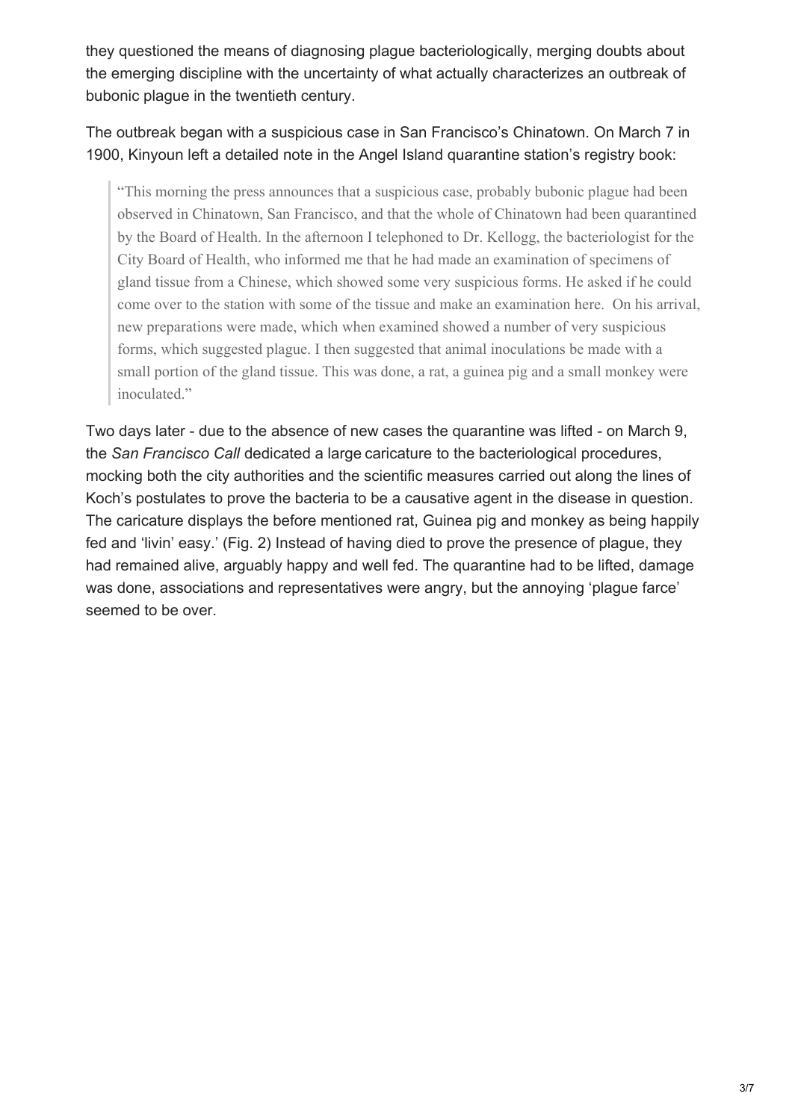they questioned the means of diagnosing plague bacteriologically, merging doubts about the emerging discipline with the uncertainty of what actually characterizes an outbreak of bubonic plague in the twentieth century.

The outbreak began with a suspicious case in San Francisco's Chinatown. On March 7 in 1900, Kinyoun left a detailed note in the Angel Island quarantine station's registry book:

"This morning the press announces that a suspicious case, probably bubonic plague had been observed in Chinatown, San Francisco, and that the whole of Chinatown had been quarantined by the Board of Health. In the afternoon I telephoned to Dr. Kellogg, the bacteriologist for the City Board of Health, who informed me that he had made an examination of specimens of gland tissue from a Chinese, which showed some very suspicious forms. He asked if he could come over to the station with some of the tissue and make an examination here. On his arrival, new preparations were made, which when examined showed a number of very suspicious forms, which suggested plague. I then suggested that animal inoculations be made with a small portion of the gland tissue. This was done, a rat, a guinea pig and a small monkey were inoculated."

Two days later - due to the absence of new cases the quarantine was lifted - on March 9, the *San Francisco Call* dedicated a large caricature to the bacteriological procedures, mocking both the city authorities and the scientific measures carried out along the lines of Koch's postulates to prove the bacteria to be a causative agent in the disease in question. The caricature displays the before mentioned rat, Guinea pig and monkey as being happily fed and 'livin' easy.' (Fig. 2) Instead of having died to prove the presence of plague, they had remained alive, arguably happy and well fed. The quarantine had to be lifted, damage was done, associations and representatives were angry, but the annoying 'plague farce' seemed to be over.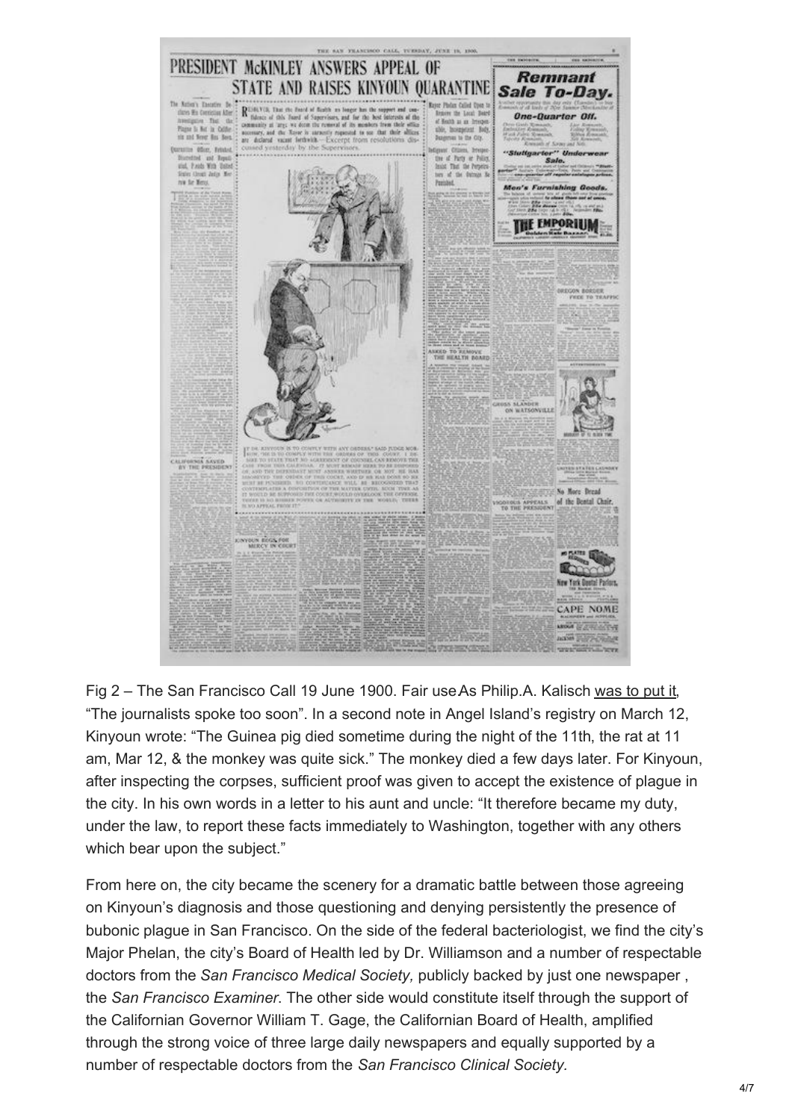

Fig 2 – The San Francisco Call 19 June 1900. Fair use As Philip.A. Kalisch [was](http://www.jstor.org/stable/pdfplus/40168068.pdf?acceptTC=true) to put it, "The journalists spoke too soon". In a second note in Angel Island's registry on March 12, Kinyoun wrote: "The Guinea pig died sometime during the night of the 11th, the rat at 11 am, Mar 12, & the monkey was quite sick." The monkey died a few days later. For Kinyoun, after inspecting the corpses, sufficient proof was given to accept the existence of plague in the city. In his own words in a letter to his aunt and uncle: "It therefore became my duty, under the law, to report these facts immediately to Washington, together with any others which bear upon the subject."

From here on, the city became the scenery for a dramatic battle between those agreeing on Kinyoun's diagnosis and those questioning and denying persistently the presence of bubonic plague in San Francisco. On the side of the federal bacteriologist, we find the city's Major Phelan, the city's Board of Health led by Dr. Williamson and a number of respectable doctors from the *San Francisco Medical Society,* publicly backed by just one newspaper , the *San Francisco Examiner*. The other side would constitute itself through the support of the Californian Governor William T. Gage, the Californian Board of Health, amplified through the strong voice of three large daily newspapers and equally supported by a number of respectable doctors from the *San Francisco Clinical Society.*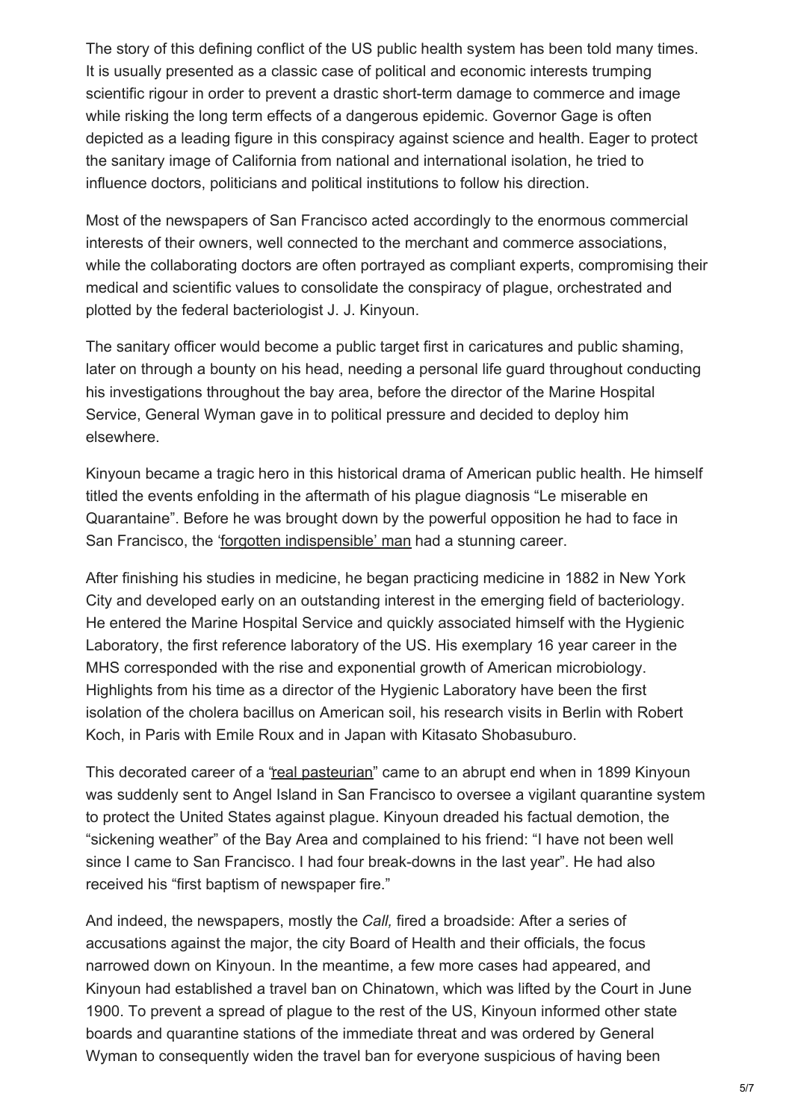The story of this defining conflict of the US public health system has been told many times. It is usually presented as a classic case of political and economic interests trumping scientific rigour in order to prevent a drastic short-term damage to commerce and image while risking the long term effects of a dangerous epidemic. Governor Gage is often depicted as a leading figure in this conspiracy against science and health. Eager to protect the sanitary image of California from national and international isolation, he tried to influence doctors, politicians and political institutions to follow his direction.

Most of the newspapers of San Francisco acted accordingly to the enormous commercial interests of their owners, well connected to the merchant and commerce associations, while the collaborating doctors are often portrayed as compliant experts, compromising their medical and scientific values to consolidate the conspiracy of plague, orchestrated and plotted by the federal bacteriologist J. J. Kinyoun.

The sanitary officer would become a public target first in caricatures and public shaming, later on through a bounty on his head, needing a personal life guard throughout conducting his investigations throughout the bay area, before the director of the Marine Hospital Service, General Wyman gave in to political pressure and decided to deploy him elsewhere.

Kinyoun became a tragic hero in this historical drama of American public health. He himself titled the events enfolding in the aftermath of his plague diagnosis "Le miserable en Quarantaine". Before he was brought down by the powerful opposition he had to face in San Francisco, the 'forgotten [indispensible'](http://www.niaid.nih.gov/about/whoweare/history/josephjkinyoun/indispensableman/Pages/default.aspx) man had a stunning career.

After finishing his studies in medicine, he began practicing medicine in 1882 in New York City and developed early on an outstanding interest in the emerging field of bacteriology. He entered the Marine Hospital Service and quickly associated himself with the Hygienic Laboratory, the first reference laboratory of the US. His exemplary 16 year career in the MHS corresponded with the rise and exponential growth of American microbiology. Highlights from his time as a director of the Hygienic Laboratory have been the first isolation of the cholera bacillus on American soil, his research visits in Berlin with Robert Koch, in Paris with Emile Roux and in Japan with Kitasato Shobasuburo.

This decorated career of a "real [pasteurian](https://jhupbooks.press.jhu.edu/content/plague-fear-and-politics-san-franciscos-chinatown)" came to an abrupt end when in 1899 Kinyoun was suddenly sent to Angel Island in San Francisco to oversee a vigilant quarantine system to protect the United States against plague. Kinyoun dreaded his factual demotion, the "sickening weather" of the Bay Area and complained to his friend: "I have not been well since I came to San Francisco. I had four break-downs in the last year". He had also received his "first baptism of newspaper fire."

And indeed, the newspapers, mostly the *Call,* fired a broadside: After a series of accusations against the major, the city Board of Health and their officials, the focus narrowed down on Kinyoun. In the meantime, a few more cases had appeared, and Kinyoun had established a travel ban on Chinatown, which was lifted by the Court in June 1900. To prevent a spread of plague to the rest of the US, Kinyoun informed other state boards and quarantine stations of the immediate threat and was ordered by General Wyman to consequently widen the travel ban for everyone suspicious of having been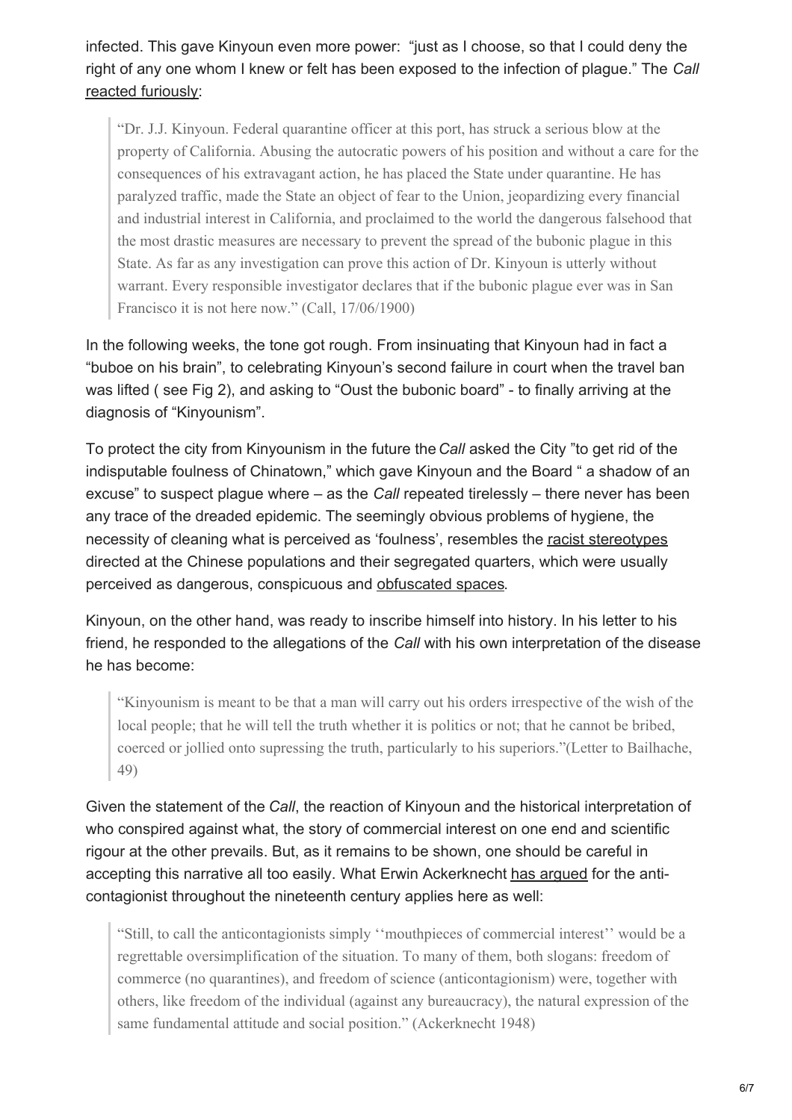infected. This gave Kinyoun even more power: "just as I choose, so that I could deny the right of any one whom I knew or felt has been exposed to the infection of plague." The *Call* reacted [furiously](http://cdnc.ucr.edu/cgi-bin/cdnc?a=d&d=SFC19000617.2.97&dliv=none&e=-------en--20-SFC-21-byDA-txt-txIN-kinyoun-------1):

"Dr. J.J. Kinyoun. Federal quarantine officer at this port, has struck a serious blow at the property of California. Abusing the autocratic powers of his position and without a care for the consequences of his extravagant action, he has placed the State under quarantine. He has paralyzed traffic, made the State an object of fear to the Union, jeopardizing every financial and industrial interest in California, and proclaimed to the world the dangerous falsehood that the most drastic measures are necessary to prevent the spread of the bubonic plague in this State. As far as any investigation can prove this action of Dr. Kinyoun is utterly without warrant. Every responsible investigator declares that if the bubonic plague ever was in San Francisco it is not here now." (Call, 17/06/1900)

In the following weeks, the tone got rough. From insinuating that Kinyoun had in fact a "buboe on his brain", to celebrating Kinyoun's second failure in court when the travel ban was lifted ( see Fig 2), and asking to "Oust the bubonic board" - to finally arriving at the diagnosis of "Kinyounism".

To protect the city from Kinyounism in the future the*Call* asked the City "to get rid of the indisputable foulness of Chinatown," which gave Kinyoun and the Board " a shadow of an excuse" to suspect plague where – as the *Call* repeated tirelessly – there never has been any trace of the dreaded epidemic. The seemingly obvious problems of hygiene, the necessity of cleaning what is perceived as 'foulness', resembles the racist [stereotypes](http://www.amazon.co.uk/Contagious-Divides-Epidemics-Franciscos-Crossroads/dp/0520226291) directed at the Chinese populations and their segregated quarters, which were usually perceived as dangerous, conspicuous and [obfuscated](https://books.google.de/books?isbn=0520935535) spaces.

Kinyoun, on the other hand, was ready to inscribe himself into history. In his letter to his friend, he responded to the allegations of the *Call* with his own interpretation of the disease he has become:

"Kinyounism is meant to be that a man will carry out his orders irrespective of the wish of the local people; that he will tell the truth whether it is politics or not; that he cannot be bribed, coerced or jollied onto supressing the truth, particularly to his superiors."(Letter to Bailhache, 49)

Given the statement of the *Call*, the reaction of Kinyoun and the historical interpretation of who conspired against what, the story of commercial interest on one end and scientific rigour at the other prevails. But, as it remains to be shown, one should be careful in accepting this narrative all too easily. What Erwin Ackerknecht has arqued for the anticontagionist throughout the nineteenth century applies here as well:

"Still, to call the anticontagionists simply ''mouthpieces of commercial interest'' would be a regrettable oversimplification of the situation. To many of them, both slogans: freedom of commerce (no quarantines), and freedom of science (anticontagionism) were, together with others, like freedom of the individual (against any bureaucracy), the natural expression of the same fundamental attitude and social position." (Ackerknecht 1948)